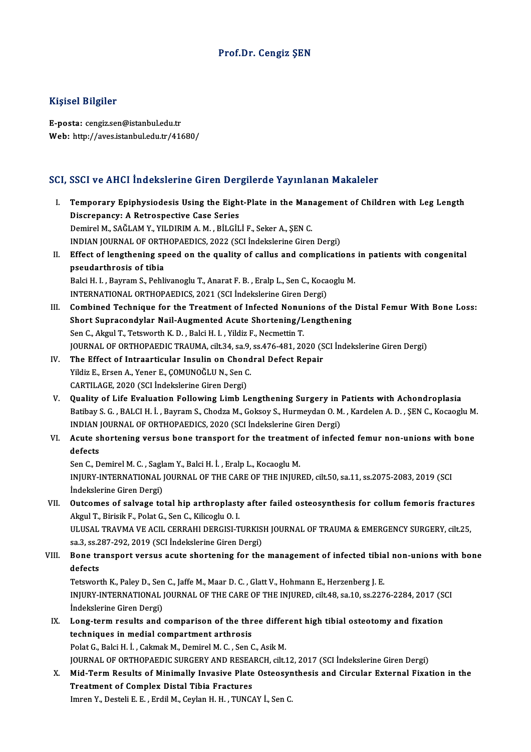#### Prof.Dr. Cengiz ŞEN

#### Kişisel Bilgiler

E-posta: cengiz.sen@istanbul.edu.tr Web: http://aves.istanbul.edu.tr/41680/

#### SCI, SSCI ve AHCI İndekslerine Giren Dergilerde Yayınlanan Makaleler

I. Temporary Epiphysiodesis Using the Eight-Plate in theManagement of Children with Leg Length Discrepancy: A Retrospective Care Care<br>Discrepancy: A Retrospective Case Series<br>Dominal M. SAČI AM V. VII DIBIM A M. PH CH Discrepancy: A Retrospective Case Series<br>Demirel M., SAĞLAM Y., YILDIRIM A.M., BİLGİLİ F., Seker A., ŞEN C. Discrepancy: A Retrospective Case Series<br>Demirel M., SAĞLAM Y., YILDIRIM A. M. , BİLGİLİ F., Seker A., ŞEN C.<br>INDIAN JOURNAL OF ORTHOPAEDICS, 2022 (SCI İndekslerine Giren Dergi)<br>Effect of langthaning apoed an the quality o Demirel M., SAĞLAM Y., YILDIRIM A. M. , BİLGİLİ F., Seker A., ŞEN C.<br>INDIAN JOURNAL OF ORTHOPAEDICS, 2022 (SCI İndekslerine Giren Dergi)<br>II. Effect of lengthening speed on the quality of callus and complications in patient **INDIAN JOURNAL OF ORTH**<br>Effect of lengthening sp<br>pseudarthrosis of tibia<br>Polsi H. L. Bayram S. Bobli Effect of lengthening speed on the quality of callus and complications<br>pseudarthrosis of tibia<br>Balci H. I. , Bayram S., Pehlivanoglu T., Anarat F. B. , Eralp L., Sen C., Kocaoglu M.<br>INTERNATIONAL OPTHORAEDICS 2021 (SCL ind pseudarthrosis of tibia<br>Balci H. I. , Bayram S., Pehlivanoglu T., Anarat F. B. , Eralp L., Sen C., Kocaoglu M.<br>INTERNATIONAL ORTHOPAEDICS, 2021 (SCI İndekslerine Giren Dergi) Balci H. I. , Bayram S., Pehlivanoglu T., Anarat F. B. , Eralp L., Sen C., Kocaoglu M.<br>INTERNATIONAL ORTHOPAEDICS, 2021 (SCI indekslerine Giren Dergi)<br>III. Combined Technique for the Treatment of Infected Nonunions of the INTERNATIONAL ORTHOPAEDICS, 2021 (SCI Indekslerine Giren Dergi)<br>Combined Technique for the Treatment of Infected Nonunions of the<br>Short Supracondylar Nail-Augmented Acute Shortening/Lengthening<br>Son G. Alvul T. Tetrusath K. Combined Technique for the Treatment of Infected Nonum<br>Short Supracondylar Nail-Augmented Acute Shortening/L<br>Sen C., Akgul T., Tetsworth K. D. , Balci H. I. , Yildiz F., Necmettin T.<br>JOUPNAL OF OPTHOPAEDIC TRAUMA sit 24, s Short Supracondylar Nail-Augmented Acute Shortening/Lengthening<br>Sen C., Akgul T., Tetsworth K. D. , Balci H. I. , Yildiz F., Necmettin T.<br>JOURNAL OF ORTHOPAEDIC TRAUMA, cilt.34, sa.9, ss.476-481, 2020 (SCI İndekslerine Gir Sen C., Akgul T., Tetsworth K. D., Balci H. I., Yildiz F., Necmettin T.<br>JOURNAL OF ORTHOPAEDIC TRAUMA, cilt.34, sa.9, ss.476-481, 2020 (S<br>IV. The Effect of Intraarticular Insulin on Chondral Defect Repair<br>Vildiz F. Erson A JOURNAL OF ORTHOPAEDIC TRAUMA, cilt.34, sa.9,<br>The Effect of Intraarticular Insulin on Chond<br>Yildiz E., Ersen A., Yener E., ÇOMUNOĞLU N., Sen C.<br>CARTU ACE 2020 (SCLIndekalerine Ciren Dergi) IV. The Effect of Intraarticular Insulin on Chondral Defect Repair<br>Yildiz E., Ersen A., Yener E., ÇOMUNOĞLU N., Sen C.<br>CARTILAGE, 2020 (SCI İndekslerine Giren Dergi) V. Quality of Life Evaluation Following Limb Lengthening Surgery in Patients with Achondroplasia Batibay S. G., BALCIH. İ., Bayram S., Chodza M., Goksoy S., Hurmeydan O. M., Kardelen A. D., ŞEN C., Kocaoglu M. Quality of Life Evaluation Following Limb Lengthening Surgery in 1<br>Batibay S. G., BALCI H. İ., Bayram S., Chodza M., Goksoy S., Hurmeydan O. M<br>INDIAN JOURNAL OF ORTHOPAEDICS, 2020 (SCI İndekslerine Giren Dergi)<br>Agute short VI. Acute shortening versus bone transport for the treatment of infected femur non-unions with bone INDIAN<br>**Acute s**<br>defects<br>Sep C D Acute shortening versus bone transport for the treatmen<br>defects<br>Sen C., Demirel M. C. , Saglam Y., Balci H. İ. , Eralp L., Kocaoglu M.<br>INIUPY INTERNATIONAL JOURNAL OF THE CARE OF THE INIUP INJURY-INTERNATIONAL JOURNAL OF THE CARE OF THE INJURED, cilt.50, sa.11, ss.2075-2083, 2019 (SCI Indekslerine Giren Dergi) Sen C., Demirel M. C. , Sagk<br>INJURY-INTERNATIONAL<br>İndekslerine Giren Dergi)<br>Qutsomos of salvasa to INJURY-INTERNATIONAL JOURNAL OF THE CARE OF THE INJURED, cilt.50, sa.11, ss.2075-2083, 2019 (SCI<br>Indekslerine Giren Dergi)<br>VII. Outcomes of salvage total hip arthroplasty after failed osteosynthesis for collum femoris frac İndekslerine Giren Dergi)<br>Outcomes of salvage total hip arthroplast<br>Akgul T., Birisik F., Polat G., Sen C., Kilicoglu O. I.<br>ULUSAL TRAVMA VE ACU. GERRAHI DERCISLT Outcomes of salvage total hip arthroplasty after failed osteosynthesis for collum femoris fracture:<br>Akgul T., Birisik F., Polat G., Sen C., Kilicoglu O. I.<br>ULUSAL TRAVMA VE ACIL CERRAHI DERGISI-TURKISH JOURNAL OF TRAUMA & Akgul T., Birisik F., Polat G., Sen C., Kilicoglu O. I.<br>ULUSAL TRAVMA VE ACIL CERRAHI DERGISI-TURKISH JOURNAL OF TRAUMA & EMERGENCY SURGERY, cilt.25, VIII. Bone transport versus acute shortening for the management of infected tibial non-unions with bone defects sa.3, ss.287-292, 2019 (SCI İndekslerine Giren Dergi) Bone transport versus acute shortening for the management of infected tibia<br>defects<br>Tetsworth K., Paley D., Sen C., Jaffe M., Maar D. C. , Glatt V., Hohmann E., Herzenberg J. E.<br>INUIDY INTERNATIONAL JOUDNAL OF THE CARE OF INJURY-INTERNATIONAL JOURNAL OF THE CARE OF THE INJURED, cilt.48, sa.10, ss.2276-2284, 2017 (SCI Indekslerine Giren Dergi) Tetsworth K., Paley D., Sen<br>INJURY-INTERNATIONAL<br>İndekslerine Giren Dergi)<br>Long term results and INJURY-INTERNATIONAL JOURNAL OF THE CARE OF THE INJURED, cilt48, sa.10, ss.2276-2284, 2017 (S)<br>Indekslerine Giren Dergi)<br>IX. Long-term results and comparison of the three different high tibial osteotomy and fixation<br>tachni indekslerine Giren Dergi)<br>Long-term results and comparison of the thr<br>techniques in medial compartment arthrosis<br>Pelat C. Belgi H. L. Calmak M. Damirel M. C. San G Long-term results and comparison of the three differ<br>techniques in medial compartment arthrosis<br>Polat G., Balci H. İ. , Cakmak M., Demirel M. C. , Sen C., Asik M.<br>JOUPMAL OF OPTHOPAEDIC SUPCERY AND PESEARCH cilt 1 techniques in medial compartment arthrosis<br>Polat G., Balci H. İ. , Cakmak M., Demirel M. C. , Sen C., Asik M.<br>JOURNAL OF ORTHOPAEDIC SURGERY AND RESEARCH, cilt.12, 2017 (SCI İndekslerine Giren Dergi)<br>Mid Term Besults of Mi Polat G., Balci H. İ. , Cakmak M., Demirel M. C. , Sen C., Asik M.<br>JOURNAL OF ORTHOPAEDIC SURGERY AND RESEARCH, cilt.12, 2017 (SCI İndekslerine Giren Dergi)<br>X. Mid-Term Results of Minimally Invasive Plate Osteosynthesis an JOURNAL OF ORTHOPAEDIC SURGERY AND RESEA<br>Mid-Term Results of Minimally Invasive Plate<br>Treatment of Complex Distal Tibia Fractures<br>Impan V. Desteli E. E. Endil M. Ceylan H. H. TINCA Mid-Term Results of Minimally Invasive Plate Osteosyr<br>Treatment of Complex Distal Tibia Fractures<br>Imren Y., Desteli E. E. , Erdil M., Ceylan H. H. , TUNCAY İ., Sen C.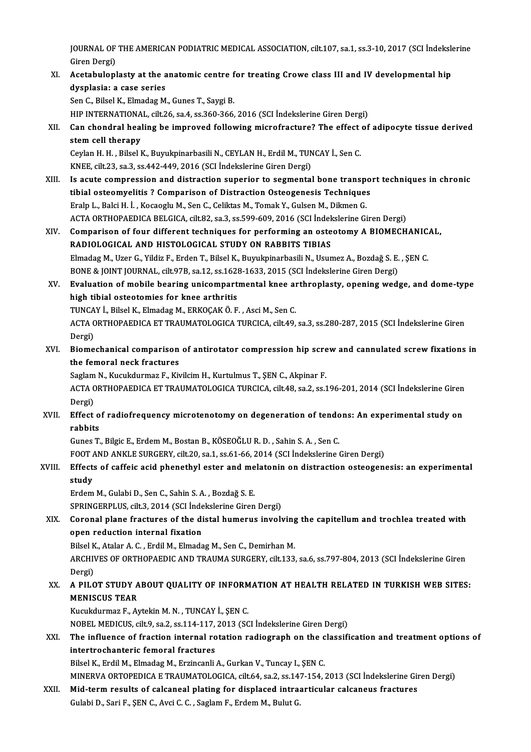JOURNAL OF THE AMERICAN PODIATRIC MEDICAL ASSOCIATION, cilt.107, sa.1, ss.3-10, 2017 (SCI İndekslerine<br>Ciron Dargi) JOURNAL OF<br>Giren Dergi)<br>Acatabulanl JOURNAL OF THE AMERICAN PODIATRIC MEDICAL ASSOCIATION, cilt.107, sa.1, ss.3-10, 2017 (SCI İndeksle<br>Giren Dergi)<br>XI. Acetabuloplasty at the anatomic centre for treating Crowe class III and IV developmental hip<br>dyaplasia: a

Giren Dergi)<br>XI. Acetabuloplasty at the anatomic centre for treating Crowe class III and IV developmental hip<br>dysplasia: a case series

Sen C., Bilsel K., Elmadag M., Gunes T., Saygi B.

HIP INTERNATIONAL, cilt.26, sa.4, ss.360-366, 2016 (SCI İndekslerine Giren Dergi)

Sen C., Bilsel K., Elmadag M., Gunes T., Saygi B.<br>HIP INTERNATIONAL, cilt.26, sa.4, ss.360-366, 2016 (SCI İndekslerine Giren Dergi)<br>XII. Can chondral healing be improved following microfracture? The effect of adipocyte HIP INTERNATIONA<br>Can chondral heal<br>stem cell therapy<br>Caylan H, H, Bilcal L Can chondral healing be improved following microfracture? The effect<br>stem cell therapy<br>Ceylan H. H. , Bilsel K., Buyukpinarbasili N., CEYLAN H., Erdil M., TUNCAY İ., Sen C.<br>KNEE silt 22.53.25.442.449.2016 (SCL indekslerine

stem cell therapy<br>Ceylan H. H. , Bilsel K., Buyukpinarbasili N., CEYLAN H., Erdil M., TUNCAY İ., Sen C.<br>KNEE, cilt.23, sa.3, ss.442-449, 2016 (SCI İndekslerine Giren Dergi) Ceylan H. H. , Bilsel K., Buyukpinarbasili N., CEYLAN H., Erdil M., TUNCAY İ., Sen C.<br>KNEE, cilt.23, sa.3, ss.442-449, 2016 (SCI İndekslerine Giren Dergi)<br>XIII. Is acute compression and distraction superior to segmental bo

- KNEE, cilt.23, sa.3, ss.442-449, 2016 (SCI İndekslerine Giren Dergi)<br>Is acute compression and distraction superior to segmental bone transpo<br>tibial osteomyelitis ? Comparison of Distraction Osteogenesis Techniques<br>Erela L. tibial osteomyelitis ? Comparison of Distraction Osteogenesis Techniques<br>Eralp L., Balci H. İ., Kocaoglu M., Sen C., Celiktas M., Tomak Y., Gulsen M., Dikmen G. tibial osteomyelitis ? Comparison of Distraction Osteogenesis Techniques<br>Eralp L., Balci H. İ. , Kocaoglu M., Sen C., Celiktas M., Tomak Y., Gulsen M., Dikmen G.<br>ACTA ORTHOPAEDICA BELGICA, cilt.82, sa.3, ss.599-609, 2016 ( Eralp L., Balci H. İ. , Kocaoglu M., Sen C., Celiktas M., Tomak Y., Gulsen M., Dikmen G.<br>ACTA ORTHOPAEDICA BELGICA, cilt.82, sa.3, ss.599-609, 2016 (SCI İndekslerine Giren Dergi)<br>XIV. Comparison of four different technique
- ACTA ORTHOPAEDICA BELGICA, cilt.82, sa.3, ss.599-609, 2016 (SCI İndek<br>Comparison of four different techniques for performing an oste<br>RADIOLOGICAL AND HISTOLOGICAL STUDY ON RABBITS TIBIAS<br>Finadas M. Hzer C. Vildiz E. Enden Comparison of four different techniques for performing an osteotomy A BIOMECHANIC.<br>RADIOLOGICAL AND HISTOLOGICAL STUDY ON RABBITS TIBIAS<br>Elmadag M., Uzer G., Yildiz F., Erden T., Bilsel K., Buyukpinarbasili N., Usumez A., RADIOLOGICAL AND HISTOLOGICAL STUDY ON RABBITS TIBIAS<br>Elmadag M., Uzer G., Yildiz F., Erden T., Bilsel K., Buyukpinarbasili N., Usumez A., Bozdağ S. E. , ŞEN C.<br>BONE & JOINT JOURNAL, cilt.97B, sa.12, ss.1628-1633, 2015 (SC Elmadag M., Uzer G., Yildiz F., Erden T., Bilsel K., Buyukpinarbasili N., Usumez A., Bozdağ S. E. , ŞEN C.<br>BONE & JOINT JOURNAL, cilt.97B, sa.12, ss.1628-1633, 2015 (SCI İndekslerine Giren Dergi)<br>XV. Evaluation of mobile b
- BONE & JOINT JOURNAL, cilt.97B, sa.12, ss.1628<br>Evaluation of mobile bearing unicompart<br>high tibial osteotomies for knee arthritis<br>TUNGAY i. Bilgel K. Elmadag M. EPKOGAK Ö. E Evaluation of mobile bearing unicompartmental knee ar<br>high tibial osteotomies for knee arthritis<br>TUNCAY İ., Bilsel K., Elmadag M., ERKOÇAK Ö. F. , Asci M., Sen C.<br>ACTA OPTHOPAEDICA ET TRAUMATOLOCICA TUPCICA cilt 49

TUNCAY İ., Bilsel K., Elmadag M., ERKOÇAK Ö. F., Asci M., Sen C.

high tibial osteotomies for knee arthritis<br>TUNCAY İ., Bilsel K., Elmadag M., ERKOÇAK Ö. F. , Asci M., Sen C.<br>ACTA ORTHOPAEDICA ET TRAUMATOLOGICA TURCICA, cilt.49, sa.3, ss.280-287, 2015 (SCI İndekslerine Giren<br>Dergi) ACTA ORTHOPAEDICA ET TRAUMATOLOGICA TURCICA, cilt.49, sa.3, ss.280-287, 2015 (SCI İndekslerine Giren<br>Dergi)<br>XVI. Biomechanical comparison of antirotator compression hip screw and cannulated screw fixations in<br>the femoral p

Dergi)<br>Biomechanical comparison<br>the femoral neck fractures<br>Saglam N. Kusukdurmag E. Ku Biomechanical comparison of antirotator compression hip scre<br>the femoral neck fractures<br>Saglam N., Kucukdurmaz F., Kivilcim H., Kurtulmus T., ŞEN C., Akpinar F.<br>ACTA OPTHORAEDICA ET TRAJIMATOLOCICA TURCICA silt 48, ss 3, s

Saglam N., Kucukdurmaz F., Kivilcim H., Kurtulmus T., SEN C., Akpinar F.

the femoral neck fractures<br>Saglam N., Kucukdurmaz F., Kivilcim H., Kurtulmus T., ŞEN C., Akpinar F.<br>ACTA ORTHOPAEDICA ET TRAUMATOLOGICA TURCICA, cilt.48, sa.2, ss.196-201, 2014 (SCI İndekslerine Giren<br>Dergi) ACTA ORTHOPAEDICA ET TRAUMATOLOGICA TURCICA, cilt.48, sa.2, ss.196-201, 2014 (SCI İndekslerine Giren<br>Dergi)<br>XVII. Effect of radiofrequency microtenotomy on degeneration of tendons: An experimental study on<br>rabbits

# Dergi)<br><mark>Effect o</mark><br>rabbits<br><sup>Cunes T</sup> Effect of radiofrequency microtenotomy on degeneration of tendo<br>rabbits<br>Gunes T., Bilgic E., Erdem M., Bostan B., KÖSEOĞLU R. D. , Sahin S. A. , Sen C.<br>FOOT AND ANKLE SUBCERY, silt 20, 82,1, 82,61, 66, 2014, (SCL indeksler rabbits<br>Gunes T., Bilgic E., Erdem M., Bostan B., KÖSEOĞLU R. D. , Sahin S. A. , Sen C.<br>FOOT AND ANKLE SURGERY, cilt.20, sa.1, ss.61-66, 2014 (SCI İndekslerine Giren Dergi)<br>Effects of saffais asid phanothul estan and melat

# Gunes T., Bilgic E., Erdem M., Bostan B., KÖSEOĞLU R. D. , Sahin S. A. , Sen C.<br>FOOT AND ANKLE SURGERY, cilt.20, sa.1, ss.61-66, 2014 (SCI İndekslerine Giren Dergi)<br>XVIII. Effects of caffeic acid phenethyl ester and melato FOOT /<br>Effect:<br>study<br>Erdem Effects of caffeic acid phenethyl ester and me<br>study<br>Erdem M., Gulabi D., Sen C., Sahin S. A. , Bozdağ S. E.<br>SPRINCERRU US. silt 2, 2014 (SSL İndekalerine Giren

study<br>Erdem M., Gulabi D., Sen C., Sahin S. A. , Bozdağ S. E.<br>SPRINGERPLUS, cilt.3, 2014 (SCI İndekslerine Giren Dergi)

## XIX. Coronal plane fractures of the distal humerus involving the capitellum and trochlea treated with open reduction internal fixation Coronal plane fractures of the distal humerus involving<br>open reduction internal fixation<br>Bilsel K., Atalar A. C. , Erdil M., Elmadag M., Sen C., Demirhan M.<br>ARCHIVES OF ORTHORAEDIC AND TRAUMA SURCERY sit 122

ARCHIVES OF ORTHOPAEDIC AND TRAUMA SURGERY, cilt.133, sa.6, ss.797-804, 2013 (SCI İndekslerine Giren<br>Dergi) Bilsel K<br>ARCHIV<br>Dergi)<br>A BILC ARCHIVES OF ORTHOPAEDIC AND TRAUMA SURGERY, cilt.133, sa.6, ss.797-804, 2013 (SCI Indekslerine Giren<br>Dergi)<br>XX. A PILOT STUDY ABOUT QUALITY OF INFORMATION AT HEALTH RELATED IN TURKISH WEB SITES:<br>MENISCUS TEAP

# Dergi)<br>A PILOT STUDY A<br>MENISCUS TEAR<br>Kusukdurmer E Al A PILOT STUDY ABOUT QUALITY OF INFORM<br>MENISCUS TEAR<br>Kucukdurmaz F., Aytekin M. N. , TUNCAY İ., ŞEN C.<br>NOBEL MEDICUS gilt Q. 82,2 82,114,117, 2012 (SC MENISCUS TEAR<br>Kucukdurmaz F., Aytekin M. N. , TUNCAY İ., ŞEN C.<br>NOBEL MEDICUS, cilt.9, sa.2, ss.114-117, 2013 (SCI İndekslerine Giren Dergi)<br>The influence of frection internal retation rediograph on the classifi

# Kucukdurmaz F., Aytekin M. N. , TUNCAY İ., ŞEN C.<br>NOBEL MEDICUS, cilt.9, sa.2, ss.114-117, 2013 (SCI İndekslerine Giren Dergi)<br>XXI. The influence of fraction internal rotation radiograph on the classification and treat NOBEL MEDICUS, cilt.9, sa.2, ss.114-117,<br>The influence of fraction internal ro<br>intertrochanteric femoral fractures<br>Bileal K. Endil M. Elmadas M. Excipeonli

Bilsel K., Erdil M., Elmadag M., Erzincanli A., Gurkan V., Tuncay I., ŞEN C.

MINERVA ORTOPEDICA E TRAUMATOLOGICA, cilt.64, sa.2, ss.147-154, 2013 (SCI İndekslerine Giren Dergi)

XXII. Mid-term results of calcaneal plating for displaced intraarticular calcaneus fractures Gulabi D., Sari F., ŞEN C., Avci C. C., Saglam F., Erdem M., Bulut G.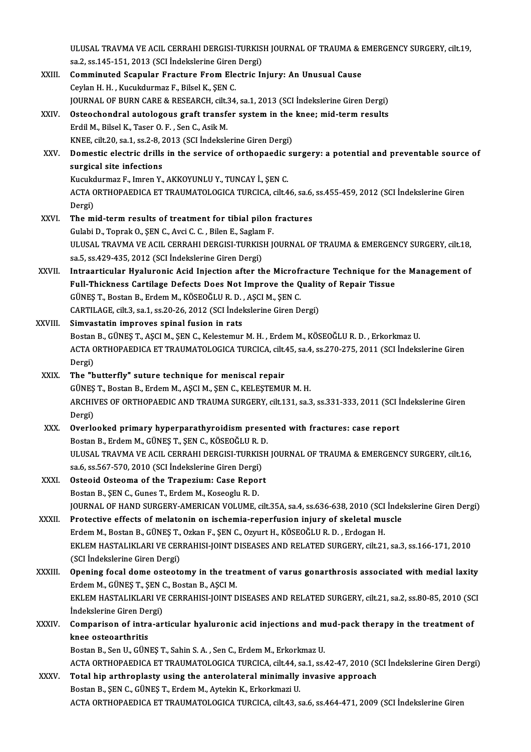|              | ULUSAL TRAVMA VE ACIL CERRAHI DERGISI-TURKISH JOURNAL OF TRAUMA & EMERGENCY SURGERY, cilt.19,<br>sa.2, ss.145-151, 2013 (SCI Indekslerine Giren Dergi)                                |
|--------------|---------------------------------------------------------------------------------------------------------------------------------------------------------------------------------------|
| XXIII.       | Comminuted Scapular Fracture From Electric Injury: An Unusual Cause                                                                                                                   |
|              | Ceylan H. H., Kucukdurmaz F., Bilsel K., ŞEN C.                                                                                                                                       |
|              | JOURNAL OF BURN CARE & RESEARCH, cilt.34, sa.1, 2013 (SCI Indekslerine Giren Dergi)                                                                                                   |
| XXIV.        | Osteochondral autologous graft transfer system in the knee; mid-term results                                                                                                          |
|              | Erdil M., Bilsel K., Taser O. F., Sen C., Asik M.                                                                                                                                     |
|              | KNEE, cilt.20, sa.1, ss.2-8, 2013 (SCI Indekslerine Giren Dergi)                                                                                                                      |
| XXV.         | Domestic electric drills in the service of orthopaedic surgery: a potential and preventable source of                                                                                 |
|              | surgical site infections                                                                                                                                                              |
|              | Kucukdurmaz F., Imren Y., AKKOYUNLU Y., TUNCAY İ., ŞEN C.                                                                                                                             |
|              | ACTA ORTHOPAEDICA ET TRAUMATOLOGICA TURCICA, cilt.46, sa.6, ss.455-459, 2012 (SCI İndekslerine Giren                                                                                  |
|              | Dergi)                                                                                                                                                                                |
| <b>XXVI</b>  | The mid-term results of treatment for tibial pilon fractures                                                                                                                          |
|              | Gulabi D., Toprak O., ŞEN C., Avci C. C., Bilen E., Saglam F.                                                                                                                         |
|              | ULUSAL TRAVMA VE ACIL CERRAHI DERGISI-TURKISH JOURNAL OF TRAUMA & EMERGENCY SURGERY, cilt.18,                                                                                         |
|              | sa.5, ss.429-435, 2012 (SCI Indekslerine Giren Dergi)                                                                                                                                 |
| XXVII.       | Intraarticular Hyaluronic Acid Injection after the Microfracture Technique for the Management of                                                                                      |
|              | Full-Thickness Cartilage Defects Does Not Improve the Quality of Repair Tissue                                                                                                        |
|              | GÜNEŞ T., Bostan B., Erdem M., KÖSEOĞLU R. D., AŞCI M., ŞEN C.                                                                                                                        |
|              | CARTILAGE, cilt.3, sa.1, ss.20-26, 2012 (SCI Indekslerine Giren Dergi)                                                                                                                |
| XXVIII.      | Simvastatin improves spinal fusion in rats                                                                                                                                            |
|              | Bostan B., GÜNEŞ T., AŞCI M., ŞEN C., Kelestemur M. H., Erdem M., KÖSEOĞLU R. D., Erkorkmaz U.                                                                                        |
|              | ACTA ORTHOPAEDICA ET TRAUMATOLOGICA TURCICA, cilt.45, sa.4, ss.270-275, 2011 (SCI İndekslerine Giren                                                                                  |
|              | Dergi)                                                                                                                                                                                |
| XXIX.        | The "butterfly" suture technique for meniscal repair                                                                                                                                  |
|              | GÜNEŞ T., Bostan B., Erdem M., AŞCI M., ŞEN C., KELEŞTEMUR M. H.                                                                                                                      |
|              | ARCHIVES OF ORTHOPAEDIC AND TRAUMA SURGERY, cilt.131, sa.3, ss.331-333, 2011 (SCI Indekslerine Giren                                                                                  |
|              | Dergi)                                                                                                                                                                                |
| XXX.         | Overlooked primary hyperparathyroidism presented with fractures: case report                                                                                                          |
|              | Bostan B., Erdem M., GÜNES T., ŞEN C., KÖSEOĞLU R. D.                                                                                                                                 |
|              | ULUSAL TRAVMA VE ACIL CERRAHI DERGISI-TURKISH JOURNAL OF TRAUMA & EMERGENCY SURGERY, cilt.16,                                                                                         |
|              | sa.6, ss.567-570, 2010 (SCI İndekslerine Giren Dergi)                                                                                                                                 |
| XXXI.        | Osteoid Osteoma of the Trapezium: Case Report                                                                                                                                         |
|              | Bostan B., ŞEN C., Gunes T., Erdem M., Koseoglu R. D.                                                                                                                                 |
|              | JOURNAL OF HAND SURGERY-AMERICAN VOLUME, cilt.35A, sa.4, ss.636-638, 2010 (SCI İndekslerine Giren Dergi)                                                                              |
| XXXII.       | Protective effects of melatonin on ischemia-reperfusion injury of skeletal muscle                                                                                                     |
|              | Erdem M., Bostan B., GÜNEŞ T., Ozkan F., ŞEN C., Ozyurt H., KÖSEOĞLU R. D., Erdogan H.                                                                                                |
|              | EKLEM HASTALIKLARI VE CERRAHISI-JOINT DISEASES AND RELATED SURGERY, cilt.21, sa.3, ss.166-171, 2010                                                                                   |
|              | (SCI İndekslerine Giren Dergi)                                                                                                                                                        |
| XXXIII       | Opening focal dome osteotomy in the treatment of varus gonarthrosis associated with medial laxity                                                                                     |
|              | Erdem M., GÜNEŞ T., ŞEN C., Bostan B., AŞCI M.                                                                                                                                        |
|              | EKLEM HASTALIKLARI VE CERRAHISI-JOINT DISEASES AND RELATED SURGERY, cilt.21, sa.2, ss.80-85, 2010 (SCI                                                                                |
| <b>XXXIV</b> | Indekslerine Giren Dergi)                                                                                                                                                             |
|              | Comparison of intra-articular hyaluronic acid injections and mud-pack therapy in the treatment of<br>knee osteoarthritis                                                              |
|              |                                                                                                                                                                                       |
|              | Bostan B., Sen U., GÜNEŞ T., Sahin S. A., Sen C., Erdem M., Erkorkmaz U.<br>ACTA ORTHOPAEDICA ET TRAUMATOLOGICA TURCICA, cilt.44, sa.1, ss.42-47, 2010 (SCI Indekslerine Giren Dergi) |
| <b>XXXV</b>  | Total hip arthroplasty using the anterolateral minimally invasive approach                                                                                                            |
|              | Bostan B., ŞEN C., GÜNEŞ T., Erdem M., Aytekin K., Erkorkmazi U.                                                                                                                      |
|              | ACTA ORTHOPAEDICA ET TRAUMATOLOGICA TURCICA, cilt.43, sa.6, ss.464-471, 2009 (SCI Indekslerine Giren                                                                                  |
|              |                                                                                                                                                                                       |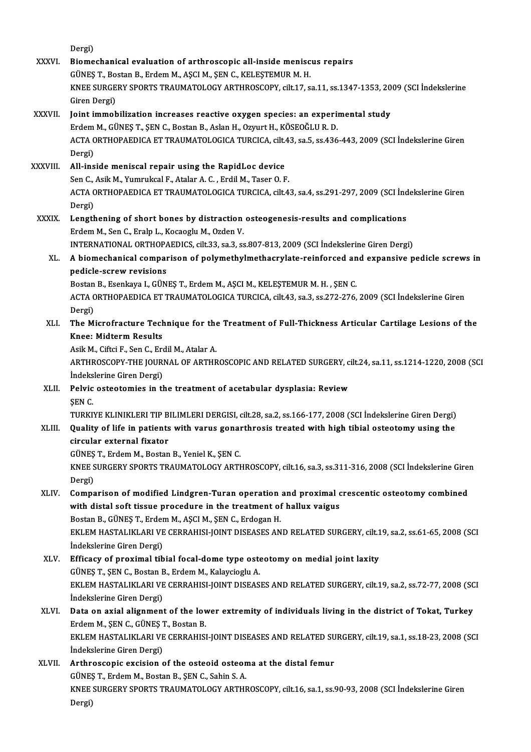Dergi) Dergi)<br>XXXVI. Biomechanical evaluation of arthroscopic all-inside meniscus repairs<br>CUNES T. Bestan B. Endem M. ASCLM, SEN C. VELESTEMUR M. H Dergi)<br>Biomechanical evaluation of arthroscopic all-inside menisc<br>GÜNEŞ T., Bostan B., Erdem M., AŞCI M., ŞEN C., KELEŞTEMUR M. H.<br>KNEE SURCERY SPORTS TRAJIMATOLOCY ARTHROSCOPY, silt 17, 8 Biomechanical evaluation of arthroscopic all-inside meniscus repairs<br>GÜNEŞ T., Bostan B., Erdem M., AŞCI M., ŞEN C., KELEŞTEMUR M. H.<br>KNEE SURGERY SPORTS TRAUMATOLOGY ARTHROSCOPY, cilt.17, sa.11, ss.1347-1353, 2009 (SCI İn GÜNEŞ T., Bo<br>KNEE SURGE<br>Giren Dergi)<br>Joint immeb XXXVI . Joint immobilization increases reactive oxygen species: an experimental study Giren Dergi)<br>Joint immobilization increases reactive oxygen species: an expering<br>Erdem M., GÜNEŞ T., ŞEN C., Bostan B., Aslan H., Ozyurt H., KÖSEOĞLU R. D.<br>ACTA ORTHORAEDICA ET TRAJIMATOLOGICA TURGICA cilt 43-83 5-85 436 ACTA ORTHOPAEDICA ET TRAUMATOLOGICA TURCICA, cilt.43, sa.5, ss.436-443, 2009 (SCI İndekslerine Giren<br>Dergi) Erdem<br>ACTA C<br>Dergi)<br>All ins XXXVIII. All-inside meniscal repair using the RapidLoc device Dergi)<br>**All-inside meniscal repair using the RapidLoc device**<br>Sen C., Asik M., Yumrukcal F., Atalar A. C. , Erdil M., Taser O. F.<br>ACTA OPTHORAEDICA ET TRAUMATOLOCICA TURCICA silt 4 ACTA ORTHOPAEDICA ET TRAUMATOLOGICA TURCICA, cilt.43, sa.4, ss.291-297, 2009 (SCI İndekslerine Giren<br>Dergi) Sen C.,<br>ACTA C<br>Dergi)<br>Length ACTA ORTHOPAEDICA ET TRAUMATOLOGICA TURCICA, cilt.43, sa.4, ss.291-297, 2009 (SCI ind<br>Dergi)<br>XXXIX. Lengthening of short bones by distraction osteogenesis-results and complications<br>Fridam M. Son G. Englis L. Kassasiu M. Or Dergi)<br>Lengthening of short bones by distraction<br>Erdem M., Sen C., Eralp L., Kocaoglu M., Ozden V.<br>INTERNATIONAL OPTHORAEDICS, silt 22, 22, 2 Lengthening of short bones by distraction osteogenesis-results and complications<br>Erdem M., Sen C., Eralp L., Kocaoglu M., Ozden V.<br>INTERNATIONAL ORTHOPAEDICS, cilt.33, sa.3, ss.807-813, 2009 (SCI İndekslerine Giren Dergi)<br> Erdem M., Sen C., Eralp L., Kocaoglu M., Ozden V.<br>INTERNATIONAL ORTHOPAEDICS, cilt.33, sa.3, ss.807-813, 2009 (SCI İndekslerine Giren Dergi)<br>XL. A biomechanical comparison of polymethylmethacrylate-reinforced and expansive INTERNATIONAL ORTHOPAEDICS, cilt.33, sa.3, ss.807-813, 2009 (SCI Indekslerine Giren Dergi) A biomechanical comparison of polymethylmethacrylate-reinforced an<br>pedicle-screw revisions<br>Bostan B., Esenkaya I., GÜNEŞ T., Erdem M., AŞCI M., KELEŞTEMUR M. H. , ŞEN C.<br>ACTA OPTHOPAEDICA ET TRAUMATOLOGICA TURGICA silt 42, pedicle-screw revisions<br>Bostan B., Esenkaya I., GÜNEŞ T., Erdem M., AŞCI M., KELEŞTEMUR M. H. , ŞEN C.<br>ACTA ORTHOPAEDICA ET TRAUMATOLOGICA TURCICA, cilt.43, sa.3, ss.272-276, 2009 (SCI İndekslerine Giren Bostan<br>ACTA C<br>Dergi)<br>The M ACTA ORTHOPAEDICA ET TRAUMATOLOGICA TURCICA, cilt.43, sa.3, ss.272-276, 2009 (SCI İndekslerine Giren<br>Dergi)<br>XLI. The Microfracture Technique for the Treatment of Full-Thickness Articular Cartilage Lesions of the<br>Kness Midt Dergi)<br>The Microfracture Tech<br>Knee: Midterm Results<br>Asik M. Ciftsi E. Son G. Er The Microfracture Technique for the<br>Knee: Midterm Results<br>Asik M., Ciftci F., Sen C., Erdil M., Atalar A.<br>APTUPOSCOPY TUE JOUPNAL OF APTUP Knee: Midterm Results<br>Asik M., Ciftci F., Sen C., Erdil M., Atalar A.<br>ARTHROSCOPY-THE JOURNAL OF ARTHROSCOPIC AND RELATED SURGERY, cilt.24, sa.11, ss.1214-1220, 2008 (SCI<br>Indekslerine Ciren Dergi) Asik M., Ciftci F., Sen C., Ero<br>ARTHROSCOPY-THE JOURI<br>İndekslerine Giren Dergi)<br>Polyis ostastamins in tl indekslerine Giren Dergi)<br>XLII. Pelvic osteotomies in the treatment of acetabular dysplasia: Review ŞENC. Pelvic osteotomies in the treatment of acetabular dysplasia: Review<br>ŞEN C.<br>TURKIYE KLINIKLERI TIP BILIMLERI DERGISI, cilt.28, sa.2, ss.166-177, 2008 (SCI İndekslerine Giren Dergi)<br>Quality of life in patients with yarus sen SEN C.<br>TURKIYE KLINIKLERI TIP BILIMLERI DERGISI, cilt.28, sa.2, ss.166-177, 2008 (SCI İndekslerine Giren Dergi)<br>XLIII. Quality of life in patients with varus gonarthrosis treated with high tibial osteotomy using the<br>circul TURKIYE KLINIKLERI TIP B<br>Quality of life in patients<br>circular external fixator Quality of life in patients with varus gonal<br>circular external fixator<br>GÜNEŞ T., Erdem M., Bostan B., Yeniel K., ŞEN C.<br>KNEE SUDCERY SPORTS TRAUMATOLOGY ARTI circular external fixator<br>GÜNEŞ T., Erdem M., Bostan B., Yeniel K., ŞEN C.<br>KNEE SURGERY SPORTS TRAUMATOLOGY ARTHROSCOPY, cilt.16, sa.3, ss.311-316, 2008 (SCI İndekslerine Giren<br>Dergi) GÜNEŞ<br>KNEE S<br>Dergi)<br>Gamna KNEE SURGERY SPORTS TRAUMATOLOGY ARTHROSCOPY, cilt.16, sa.3, ss.311-316, 2008 (SCI Indekslerine Gire:<br>Dergi)<br>XLIV. Comparison of modified Lindgren-Turan operation and proximal crescentic osteotomy combined<br>with distal soft Dergi)<br>Comparison of modified Lindgren-Turan operation and proximal of<br>with distal soft tissue procedure in the treatment of hallux vaigus<br>Restan B. CÜNES T. Erdem M. ASCLM, SEN G. Erdegen H Comparison of modified Lindgren-Turan operation<br>with distal soft tissue procedure in the treatment of<br>Bostan B., GÜNEŞ T., Erdem M., AŞCI M., ŞEN C., Erdogan H.<br>EVI EM HASTALIVLARLVE CERRAHISLIONT DISEASES AN with distal soft tissue procedure in the treatment of hallux vaigus<br>Bostan B., GÜNEŞ T., Erdem M., AŞCI M., ŞEN C., Erdogan H.<br>EKLEM HASTALIKLARI VE CERRAHISI-JOINT DISEASES AND RELATED SURGERY, cilt.19, sa.2, ss.61-65, 20 Bostan B., GÜNEŞ T., Erder<br>EKLEM HASTALIKLARI VE<br>İndekslerine Giren Dergi)<br>Efficacu of nravimal tib EKLEM HASTALIKLARI VE CERRAHISI-JOINT DISEASES AND RELATED SURGERY, cilt.1<br>
indekslerine Giren Dergi)<br>
XLV. Efficacy of proximal tibial focal-dome type osteotomy on medial joint laxity<br>
CÜNES T. SEN G. Bostan B. Erdem M. K İndekslerine Giren Dergi)<br>Efficacy of proximal tibial focal-dome type osta<br>GÜNEŞ T., ŞEN C., Bostan B., Erdem M., Kalaycioglu A.<br>EKLEM HASTALIKLARLVE GERRAHISLIONT DISEAS Efficacy of proximal tibial focal-dome type osteotomy on medial joint laxity<br>GÜNEŞ T., ŞEN C., Bostan B., Erdem M., Kalaycioglu A.<br>EKLEM HASTALIKLARI VE CERRAHISI-JOINT DISEASES AND RELATED SURGERY, cilt.19, sa.2, ss.72-77 GÜNEŞ T., ŞEN C., Bostan E<br>EKLEM HASTALIKLARI VE<br>İndekslerine Giren Dergi)<br>Pata en avial alianmeni EKLEM HASTALIKLARI VE CERRAHISI-JOINT DISEASES AND RELATED SURGERY, cilt.19, sa.2, ss.72-77, 2008 (SC<br>Indekslerine Giren Dergi)<br>XLVI. Data on axial alignment of the lower extremity of individuals living in the district of İndekslerine Giren Dergi)<br>Data on axial alignment of the lov<br>Erdem M., ŞEN C., GÜNEŞ T., Bostan B.<br>EKLEM HASTALIKLARLVE CERRAHISI Data on axial alignment of the lower extremity of individuals living in the district of Tokat, Turkey<br>Erdem M., ŞEN C., GÜNEŞ T., Bostan B.<br>EKLEM HASTALIKLARI VE CERRAHISI-JOINT DISEASES AND RELATED SURGERY, cilt.19, sa.1, Erdem M., ŞEN C., GÜNEŞ 1<br>EKLEM HASTALIKLARI VE<br>İndekslerine Giren Dergi)<br>Arthrossonis evsision EKLEM HASTALIKLARI VE CERRAHISI-JOINT DISEASES AND RELATED SU<br>
indekslerine Giren Dergi)<br>
XLVII. Arthroscopic excision of the osteoid osteoma at the distal femur<br>
CUNES T. Erdom M. Bostan B. SEN C. Sobin S. A İndekslerine Giren Dergi)<br>Arthroscopic excision of the osteoid osteon<br>GÜNEŞ T., Erdem M., Bostan B., ŞEN C., Sahin S. A.<br>KNEE SURCERY SPORTS TRAUMATOLOCY ARTHI Arthroscopic excision of the osteoid osteoma at the distal femur<br>GÜNEŞ T., Erdem M., Bostan B., ŞEN C., Sahin S. A.<br>KNEE SURGERY SPORTS TRAUMATOLOGY ARTHROSCOPY, cilt.16, sa.1, ss.90-93, 2008 (SCI İndekslerine Giren<br>Dergi) GÜNEŞ<br>KNEE<br>Dergi)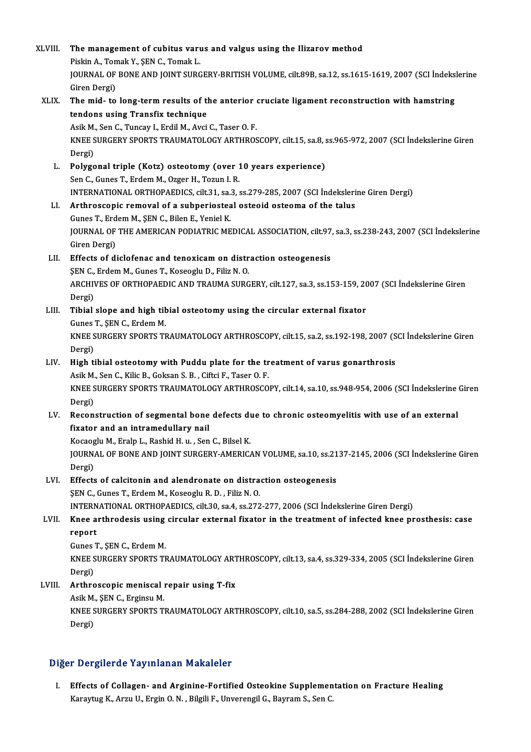| XLVIII. | The management of cubitus varus and valgus using the Ilizarov method<br>Piskin A., Tomak Y., ŞEN C., Tomak L.                                                  |
|---------|----------------------------------------------------------------------------------------------------------------------------------------------------------------|
|         | JOURNAL OF BONE AND JOINT SURGERY-BRITISH VOLUME, cilt.89B, sa.12, ss.1615-1619, 2007 (SCI İndekslerine<br>Giren Dergi)                                        |
| XLIX.   | The mid- to long-term results of the anterior cruciate ligament reconstruction with hamstring                                                                  |
|         | tendons using Transfix technique                                                                                                                               |
|         | Asik M., Sen C., Tuncay I., Erdil M., Avci C., Taser O. F.                                                                                                     |
|         | KNEE SURGERY SPORTS TRAUMATOLOGY ARTHROSCOPY, cilt.15, sa.8, ss.965-972, 2007 (SCI İndekslerine Giren                                                          |
| L.      | Dergi)<br>Polygonal triple (Kotz) osteotomy (over 10 years experience)                                                                                         |
|         | Sen C., Gunes T., Erdem M., Ozger H., Tozun I. R.                                                                                                              |
|         | INTERNATIONAL ORTHOPAEDICS, cilt.31, sa.3, ss.279-285, 2007 (SCI İndekslerine Giren Dergi)                                                                     |
| LI.     | Arthroscopic removal of a subperiosteal osteoid osteoma of the talus                                                                                           |
|         | Gunes T., Erdem M., ŞEN C., Bilen E., Yeniel K.                                                                                                                |
|         | JOURNAL OF THE AMERICAN PODIATRIC MEDICAL ASSOCIATION, cilt.97, sa.3, ss.238-243, 2007 (SCI İndekslerine                                                       |
| LII.    | Giren Dergi)<br>Effects of diclofenac and tenoxicam on distraction osteogenesis                                                                                |
|         | ŞEN C., Erdem M., Gunes T., Koseoglu D., Filiz N. O.                                                                                                           |
|         | ARCHIVES OF ORTHOPAEDIC AND TRAUMA SURGERY, cilt.127, sa.3, ss.153-159, 2007 (SCI Indekslerine Giren                                                           |
|         | Dergi)                                                                                                                                                         |
| LIII.   | Tibial slope and high tibial osteotomy using the circular external fixator                                                                                     |
|         | Gunes T., ŞEN C., Erdem M.                                                                                                                                     |
|         | KNEE SURGERY SPORTS TRAUMATOLOGY ARTHROSCOPY, cilt.15, sa.2, ss.192-198, 2007 (SCI İndekslerine Giren                                                          |
| LIV.    | Dergi)<br>High tibial osteotomy with Puddu plate for the treatment of varus gonarthrosis                                                                       |
|         | Asik M., Sen C., Kilic B., Goksan S. B., Ciftci F., Taser O. F.                                                                                                |
|         | KNEE SURGERY SPORTS TRAUMATOLOGY ARTHROSCOPY, cilt.14, sa.10, ss.948-954, 2006 (SCI İndekslerine Giren                                                         |
|         | Dergi)                                                                                                                                                         |
| LV.     | Reconstruction of segmental bone defects due to chronic osteomyelitis with use of an external                                                                  |
|         | fixator and an intramedullary nail                                                                                                                             |
|         | Kocaoglu M., Eralp L., Rashid H. u., Sen C., Bilsel K.<br>JOURNAL OF BONE AND JOINT SURGERY-AMERICAN VOLUME, sa.10, ss.2137-2145, 2006 (SCI Indekslerine Giren |
|         | Dergi)                                                                                                                                                         |
| LVI.    | Effects of calcitonin and alendronate on distraction osteogenesis                                                                                              |
|         | ŞEN C., Gunes T., Erdem M., Koseoglu R. D., Filiz N. O.                                                                                                        |
|         | INTERNATIONAL ORTHOPAEDICS, cilt.30, sa.4, ss.272-277, 2006 (SCI İndekslerine Giren Dergi)                                                                     |
| LVII.   | Knee arthrodesis using circular external fixator in the treatment of infected knee prosthesis: case                                                            |
|         | report<br>Gunes T., ŞEN C., Erdem M.                                                                                                                           |
|         | KNEE SURGERY SPORTS TRAUMATOLOGY ARTHROSCOPY, cilt.13, sa.4, ss.329-334, 2005 (SCI İndekslerine Giren                                                          |
|         | Dergi)                                                                                                                                                         |
| LVIII.  | Arthroscopic meniscal repair using T-fix                                                                                                                       |
|         | Asik M., ŞEN C., Erginsu M.                                                                                                                                    |
|         | KNEE SURGERY SPORTS TRAUMATOLOGY ARTHROSCOPY, cilt.10, sa.5, ss.284-288, 2002 (SCI İndekslerine Giren                                                          |
|         | Dergi)                                                                                                                                                         |

## Diğer Dergilerde Yayınlanan Makaleler

Iger Dergilerde Yayınlanan Makaleler<br>I. Effects of Collagen- and Arginine-Fortified Osteokine Supplementation on Fracture Healing<br>Kanaytya K. Argy II. Frain O. N. Bilgili E. Unyorongil G. Boyram S. Son G. r Dergnerde Tdymmandn Mandreier<br>Effects of Collagen- and Arginine-Fortified Osteokine Supplemen<br>Karaytug K., Arzu U., Ergin O. N. , Bilgili F., Unverengil G., Bayram S., Sen C.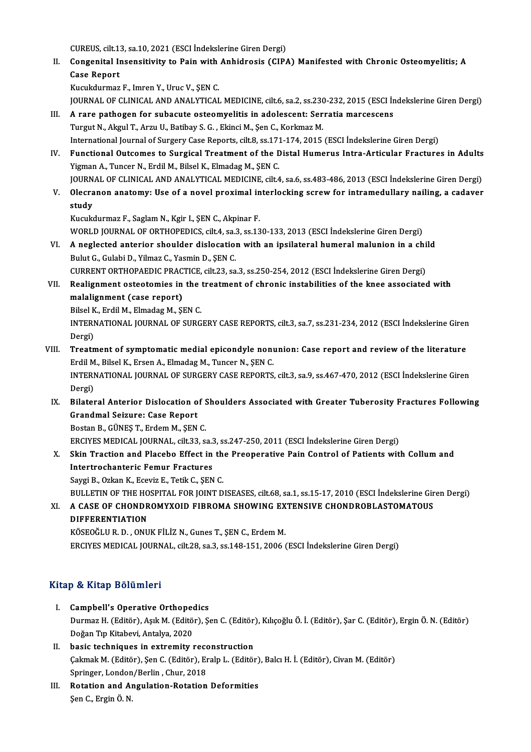CUREUS, cilt.13, sa.10, 2021 (ESCI İndekslerine Giren Dergi)<br>Consenital Inconsitivity to Boin with Anhidrosis (CIB)

II. Congenital Insensitivity to Pain with Anhidrosis (CIPA) Manifested with Chronic Osteomyelitis; A<br>Case Report CUREUS, cilt.1:<br>Congenital II<br>Case Report Case Report<br>Kucukdurmaz F., Imren Y., Uruc V., ŞEN C.<br>JOURNAL OF CLINICAL AND ANALYTICAL MEDICINE, cilt.6, sa.2, ss.230-232, 2015 (ESCI İndekslerine Giren Dergi)<br>A rare pathogen for subasute esteemyelitis in adelessent: Se

Kucukdurmaz F., Imren Y., Uruc V., ŞEN C.

- III. A rare pathogen for subacute osteomyelitis in adolescent: Serratia marcescens<br>Turgut N., Akgul T., Arzu U., Batibay S. G., Ekinci M., Şen C., Korkmaz M. JOURNAL OF CLINICAL AND ANALYTICAL MEDICINE, cilt.6, sa.2, ss.230<br>A rare pathogen for subacute osteomyelitis in adolescent: Ser<br>Turgut N., Akgul T., Arzu U., Batibay S. G. , Ekinci M., Şen C., Korkmaz M.<br>International Jour International Journal of Surgery Case Reports, cilt.8, ss.171-174, 2015 (ESCI İndekslerine Giren Dergi) Turgut N., Akgul T., Arzu U., Batibay S. G. , Ekinci M., Şen C., Korkmaz M.<br>International Journal of Surgery Case Reports, cilt.8, ss.171-174, 2015 (ESCI İndekslerine Giren Dergi)<br>IV. Functional Outcomes to Surgical Treatm
- Yigman A., Tuncer N., Erdil M., Bilsel K., Elmadag M., ŞEN C. Functional Outcomes to Surgical Treatment of the Distal Humerus Intra-Articular Fractures in Adults<br>Yigman A., Tuncer N., Erdil M., Bilsel K., Elmadag M., ŞEN C.<br>JOURNAL OF CLINICAL AND ANALYTICAL MEDICINE, cilt.4, sa.6, s
- Yigman A., Tuncer N., Erdil M., Bilsel K., Elmadag M., ŞEN C.<br>JOURNAL OF CLINICAL AND ANALYTICAL MEDICINE, cilt4, sa.6, ss.483-486, 2013 (ESCI İndekslerine Giren Dergi)<br>V. Olecranon anatomy: Use of a novel proximal int JOURN<br>Olecra<br>study<br>Kusuk V. Olecranon anatomy: Use of a novel proximal interlocking screw for intramedullary nailing, a cadaver<br>study<br>Kucukdurmaz F., Saglam N., Kgir I., ŞEN C., Akpinar F.

study<br>Kucukdurmaz F., Saglam N., Kgir I., ŞEN C., Akpinar F.<br>WORLD JOURNAL OF ORTHOPEDICS, cilt.4, sa.3, ss.130-133, 2013 (ESCI İndekslerine Giren Dergi)<br>A neglested anteriar shauldar dielesation with an insilateral humara Kucukdurmaz F., Saglam N., Kgir I., ŞEN C., Akpinar F.<br>WORLD JOURNAL OF ORTHOPEDICS, cilt.4, sa.3, ss.130-133, 2013 (ESCI İndekslerine Giren Dergi)<br>VI. A neglected anterior shoulder dislocation with an ipsilateral humeral

- WORLD JOURNAL OF ORTHOPEDICS, cilt.4, sa.:<br>A neglected anterior shoulder dislocation<br>Bulut G., Gulabi D., Yilmaz C., Yasmin D., ŞEN C.<br>CURRENT ORTHORAEDIC BRACTICE silt 33, 33 A neglected anterior shoulder dislocation with an ipsilateral humeral malunion in a chi<br>Bulut G., Gulabi D., Yilmaz C., Yasmin D., ŞEN C.<br>CURRENT ORTHOPAEDIC PRACTICE, cilt.23, sa.3, ss.250-254, 2012 (ESCI İndekslerine Gir Bulut G., Gulabi D., Yilmaz C., Yasmin D., ŞEN C.<br>CURRENT ORTHOPAEDIC PRACTICE, cilt.23, sa.3, ss.250-254, 2012 (ESCI İndekslerine Giren Dergi)<br>VII. Realignment osteotomies in the treatment of chronic instabilities of the
- CURRENT ORTHOPAEDIC PRACTICE, cilt.23, sa.3, ss.250-254, 2012 (ESCI Indekslerine Giren Dergi)<br>Realignment osteotomies in the treatment of chronic instabilities of the knee associate<br>malalignment (case report) Realignment osteotomies in the<br>malalignment (case report)<br>Bilsel K., Erdil M., Elmadag M., ŞEN C.<br>INTERNATIONAL JOURNAL OF SURC

INTERNATIONAL JOURNAL OF SURGERY CASE REPORTS, cilt.3, sa.7, ss.231-234, 2012 (ESCI İndekslerine Giren<br>Dergi) Bilsel K., Erdil M., Elmadag M., SEN C. INTERNATIONAL JOURNAL OF SURGERY CASE REPORTS, cilt.3, sa.7, ss.231-234, 2012 (ESCI Indekslerine Giren<br>Dergi)<br>VIII. Treatment of symptomatic medial epicondyle nonunion: Case report and review of the literature<br>Frdil M. Bil

- Dergi)<br>Treatment of symptomatic medial epicondyle non<br>Erdil M., Bilsel K., Ersen A., Elmadag M., Tuncer N., ŞEN C.<br>INTERNATIONAL JOURNAL OF SURCERY CASE REPORTS Treatment of symptomatic medial epicondyle nonunion: Case report and review of the literature<br>Erdil M., Bilsel K., Ersen A., Elmadag M., Tuncer N., ŞEN C.<br>INTERNATIONAL JOURNAL OF SURGERY CASE REPORTS, cilt.3, sa.9, ss.467 Erdil M<br>INTERI<br>Dergi)<br>Pilater INTERNATIONAL JOURNAL OF SURGERY CASE REPORTS, cilt.3, sa.9, ss.467-470, 2012 (ESCI Indekslerine Giren<br>Dergi)<br>IX. Bilateral Anterior Dislocation of Shoulders Associated with Greater Tuberosity Fractures Following<br>Crandmal
- Dergi)<br>Bilateral Anterior Dislocation o<br>Grandmal Seizure: Case Report<br>Pestan B. CÜNES T. Endem M. SEN Bilateral Anterior Dislocation of S<br>Grandmal Seizure: Case Report<br>Bostan B., GÜNEŞ T., Erdem M., ŞEN C.<br>EPCIVES MEDICAL JOUPNAL, silt 22. S

Bostan B., GÜNEŞ T., Erdem M., ŞEN C.<br>ERCIYES MEDICAL JOURNAL, cilt.33, sa.3, ss.247-250, 2011 (ESCI İndekslerine Giren Dergi)

Bostan B., GÜNEŞ T., Erdem M., ŞEN C.<br>ERCIYES MEDICAL JOURNAL, cilt.33, sa.3, ss.247-250, 2011 (ESCI İndekslerine Giren Dergi)<br>X. Skin Traction and Placebo Effect in the Preoperative Pain Control of Patients with Collum an ERCIYES MEDICAL JOURNAL, cilt.33, sa.3<br>Skin Traction and Placebo Effect in<br>Intertrochanteric Femur Fractures<br>Savri B. Orkan K. Easyir E. Totik C. SEN Skin Traction and Placebo Effect in th<br>Intertrochanteric Femur Fractures<br>Saygi B., Ozkan K., Eceviz E., Tetik C., ŞEN C.<br>PULLETIN OF THE HOSPITAL FOR JOINT D Intertrochanteric Femur Fractures<br>Saygi B., Ozkan K., Eceviz E., Tetik C., ŞEN C.<br>BULLETIN OF THE HOSPITAL FOR JOINT DISEASES, cilt.68, sa.1, ss.15-17, 2010 (ESCI İndekslerine Giren Dergi)<br>A GASE OE GUONDROMYXOUD EIRROMA S

Saygi B., Ozkan K., Eceviz E., Tetik C., ŞEN C.<br>BULLETIN OF THE HOSPITAL FOR JOINT DISEASES, cilt.68, sa.1, ss.15-17, 2010 (ESCI İndekslerine Gir<br>XI. A CASE OF CHONDROMYXOID FIBROMA SHOWING EXTENSIVE CHONDROBLASTOMATOU **BULLETIN OF THE HO<br>A CASE OF CHONDR<br>DIFFERENTIATION<br>VÖSEQĞLU P. D. ONU** XI. A CASE OF CHONDROMYXOID FIBROMA SHOWING EXTENSIVE CHONDROBLASTOMATOUS<br>DIFFERENTIATION<br>KÖSEOĞLU R. D. , ONUK FİLİZ N., Gunes T., ŞEN C., Erdem M.

ERCIYESMEDICAL JOURNAL, cilt.28, sa.3, ss.148-151,2006 (ESCI İndekslerineGirenDergi)

### Kitap & Kitap Bölümleri

- I. Campbell's Operative Orthopedics p & IIIdip Bolumilori<br>Campbell's Operative Orthopedics<br>Durmaz H. (Editör), Aşık M. (Editör), Şen C. (Editör), Kılıçoğlu Ö. İ. (Editör), Şar C. (Editör), Ergin Ö. N. (Editör) Campbell's Operative Orthope<br>Durmaz H. (Editör), Aşık M. (Editö<br>Doğan Tıp Kitabevi, Antalya, 2020<br>bogia tashniques in extremitu ı Doğan Tıp Kitabevi, Antalya, 2020<br>II. basic techniques in extremity reconstruction
- Çakmak M. (Editör), Şen C. (Editör), Eralp L. (Editör), Balcı H. İ. (Editör), Civan M. (Editör) basic techniques in extremity recc<br>Cakmak M. (Editör), Şen C. (Editör), Er<br>Springer, London/Berlin , Chur, 2018<br>Botation and Angulation Botation
- III. Rotation and Angulation-Rotation Deformities<br>Sen C., Ergin Ö. N. Springer, London<br><mark>Rotation and A</mark>1<br>Şen C., Ergin Ö. N.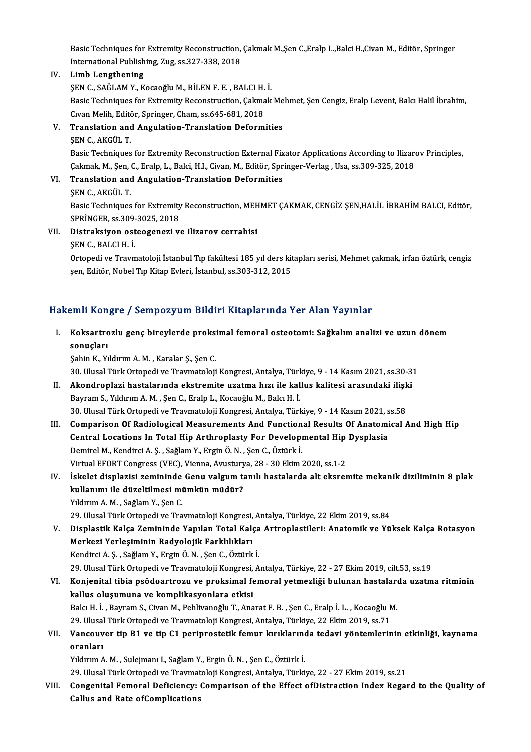Basic Techniques for Extremity Reconstruction, Çakmak M.,Şen C.,Eralp L.,Balci H.,Civan M., Editör, Springer<br>International Publishing Zug es 227 229 2019 Basic Techniques for Extremity Reconstruction,<br>International Publishing, Zug, ss.327-338, 2018<br>Limb Lengthening International Publishing, Zug, ss.327-338, 2018<br>IV. Limb Lengthening

International Publishing, Zug, ss.327-338, 2018<br>Limb Lengthening<br>ŞEN C., SAĞLAM Y., Kocaoğlu M., BİLEN F. E. , BALCI H. İ.<br>Pasis Techniques for Eutremity Pesenstrustion, Calmak Basic Techniques for Extremity Reconstruction, Çakmak Mehmet, Şen Cengiz, Eralp Levent, Balcı Halil İbrahim,<br>Cıvan Melih, Editör, Springer, Cham, ss.645-681, 2018 ŞEN C., SAĞLAM Y., Kocaoğlu M., BİLEN F. E. , BALCI H.<br>Basic Techniques for Extremity Reconstruction, Çakma<br>Cıvan Melih, Editör, Springer, Cham, ss.645-681, 2018<br>Translation and Angulation Translation Deform Basic Techniques for Extremity Reconstruction, Çakmak Me<br>Cıvan Melih, Editör, Springer, Cham, ss.645-681, 2018<br>V. Translation and Angulation-Translation Deformities<br>SEN C. AKCÜLT Civan Melih, Edită<br>Translation and<br>ŞEN C., AKGÜL T.<br>Posis Techniques

ŞEN C., AKGÜL T.<br>Basic Techniques for Extremity Reconstruction External Fixator Applications According to Ilizarov Principles, ŞEN C., AKGÜL T.<br>Basic Techniques for Extremity Reconstruction External Fixator Applications According to Ilizare<br>Çakmak, M., Şen, C., Eralp, L., Balci, H.I., Civan, M., Editör, Springer-Verlag , Usa, ss.309-325, 2018<br>Tran Çakmak, M., Şen, (<br><mark>Translation and</mark><br>ŞEN C., AKGÜL T.<br>Posis Teshniques

## VI. Translation and Angulation-Translation Deformities

Translation and Angulation-Translation Deformities<br>ŞEN C., AKGÜL T.<br>Basic Techniques for Extremity Reconstruction, MEHMET ÇAKMAK, CENGİZ ŞEN,HALİL İBRAHİM BALCI, Editör,<br>SPRİNCER *ss* 200 2025, 2019 **SEN C., AKGÜL T.<br>Basic Techniques for Extremity<br>SPRİNGER, ss.309-3025, 2018<br>Distreksiyen esteeseneri v.** SPRİNGER, ss. 309-3025, 2018

## VII. Distraksiyon osteogenezi ve ilizarov cerrahisi<br>ŞEN C., BALCI H. İ.

Distraksiyon osteogenezi ve ilizarov cerrahisi<br>ŞEN C., BALCI H. İ.<br>Ortopedi ve Travmatoloji İstanbul Tıp fakültesi 185 yıl ders kitapları serisi, Mehmet çakmak, irfan öztürk, cengiz<br>sen Editör Nebel Tıp Kitap Evleri, İstan ŞEN C., BALCI H. İ.<br>Ortopedi ve Travmatoloji İstanbul Tıp fakültesi 185 yıl ders kit<br>şen, Editör, Nobel Tıp Kitap Evleri, İstanbul, ss.303-312, 2015

# şen, Editör, Nobel Tıp Kitap Evleri, İstanbul, ss.303-312, 2015<br>Hakemli Kongre / Sempozyum Bildiri Kitaplarında Yer Alan Yayınlar

akemli Kongre / Sempozyum Bildiri Kitaplarında Yer Alan Yayınlar<br>I. Koksartrozlu genç bireylerde proksimal femoral osteotomi: Sağkalım analizi ve uzun dönem<br>Senyeleri sinis ison<br>Koksartro<br>sonuçları<br>Sobin K. Vi Koksartrozlu genç bireylerde proks:<br>sonuçları<br>Şahin K., Yıldırım A. M. , Karalar Ş., Şen C.<br>20 Ulucal Türk Ortonedi ve Traymatalaji s<mark>onuçları</mark><br>Şahin K., Yıldırım A. M. , Karalar Ş., Şen C.<br>30. Ulusal Türk Ortopedi ve Travmatoloji Kongresi, Antalya, Türkiye, 9 - 14 Kasım 2021, ss.30-31<br>Akandroplari hastalarında ekstremite uratma bırı ile kallya kalites

- Sahin K., Yıldırım A. M. , Karalar Ş., Şen C.<br>30. Ulusal Türk Ortopedi ve Travmatoloji Kongresi, Antalya, Türkiye, 9 14 Kasım 2021, ss.30-3<br>II. Akondroplazi hastalarında ekstremite uzatma hızı ile kallus kalitesi arasınd 30. Ulusal Türk Ortopedi ve Travmatoloji Kongresi, Antalya, Türk<br>**Akondroplazi hastalarında ekstremite uzatma hızı ile kal**<br>Bayram S., Yıldırım A. M. , Şen C., Eralp L., Kocaoğlu M., Balcı H. İ.<br><sup>20. Ulugal Türk Ortopedi v</sup> 11. Akondroplazi hastalarında ekstremite uzatma hızı ile kallus kalitesi arasındaki ilişki<br>Bayram S., Yıldırım A. M. , Şen C., Eralp L., Kocaoğlu M., Balcı H. İ.<br>30. Ulusal Türk Ortopedi ve Travmatoloji Kongresi, Antalya, Bayram S., Yıldırım A. M. , Şen C., Eralp L., Kocaoğlu M., Balcı H. İ.<br>30. Ulusal Türk Ortopedi ve Travmatoloji Kongresi, Antalya, Türkiye, 9 - 14 Kasım 2021, ss.58<br>III. Comparison Of Radiological Measurements And Func
- 30. Ulusal Türk Ortopedi ve Travmatoloji Kongresi, Antalya, Türkiye, 9 14 Kasım 2021, s<br>Comparison Of Radiological Measurements And Functional Results Of Anatomi<br>Central Locations In Total Hip Arthroplasty For Developmen Comparison Of Radiological Measurements And Function<br>Central Locations In Total Hip Arthroplasty For Developi<br>Demirel M., Kendirci A. Ş. , Sağlam Y., Ergin Ö. N. , Şen C., Öztürk İ.<br>Virtual EEOPT Congress (VEC), Vienna Aru Central Locations In Total Hip Arthroplasty For Developmental Hip Dysplasia<br>Demirel M., Kendirci A. Ş. , Sağlam Y., Ergin Ö. N. , Şen C., Öztürk İ.<br>Virtual EFORT Congress (VEC), Vienna, Avusturya, 28 - 30 Ekim 2020, ss.1-2 Demirel M., Kendirci A. Ş. , Sağlam Y., Ergin Ö. N. , Şen C., Öztürk İ.<br>Virtual EFORT Congress (VEC), Vienna, Avusturya, 28 - 30 Ekim 2020, ss.1-2<br>IV. İskelet displazisi zemininde Genu valgum tanılı hastalarda alt eksremit
- Virtual EFORT Congress (VEC), Vienna, Avustury<br>İskelet displazisi zemininde Genu valgum ta<br>kullanımı ile düzeltilmesi mümkün müdür?<br>Yıldınım A.M., Səğləm V. Sən C kullanımı ile düzeltilmesi mümkün müdür?<br>Yıldırım A. M. , Sağlam Y., Şen C.

29. Ulusal Türk Ortopedi ve Travmatoloji Kongresi, Antalya, Türkiye, 22 Ekim 2019, ss.84

- V. Displastik Kalça Zemininde Yapılan Total Kalça Artroplastileri: Anatomik ve Yüksek Kalça Rotasyon 29. Ulusal Türk Ortopedi ve Travmatoloji Kongresi,<br>Displastik Kalça Zemininde Yapılan Total Kalı<br>Merkezi Yerleşiminin Radyolojik Farklılıkları<br>Kondirsi A.S. Soğlam V. Frgin Ö.N. San G. Örtürk Displastik Kalça Zemininde Yapılan Total Kalça<br>Merkezi Yerleşiminin Radyolojik Farklılıkları<br>Kendirci A.Ş. , Sağlam Y., Ergin Ö. N. , Şen C., Öztürk İ.<br>20 Hlusel Türk Ortenedi ve Traymateleji Kongresi, A Kendirci A. Ş. , Sağlam Y., Ergin Ö. N. , Şen C., Öztürk İ.<br>29. Ulusal Türk Ortopedi ve Travmatoloji Kongresi, Antalya, Türkiye, 22 - 27 Ekim 2019, cilt.53, ss.19 Kendirci A. Ş. , Sağlam Y., Ergin Ö. N. , Şen C., Öztürk İ.<br>29. Ulusal Türk Ortopedi ve Travmatoloji Kongresi, Antalya, Türkiye, 22 - 27 Ekim 2019, cilt.53, ss.19<br>19. Konjenital tibia psödoartrozu ve proksimal femoral yetm
- 29. Ulusal Türk Ortopedi ve Travmatoloji Kongresi,<br>Konjenital tibia psödoartrozu ve proksimal fe<br>kallus oluşumuna ve komplikasyonlara etkisi<br>Pels H. İ. Bayram S. Givan M. Bohlivaneğlu T. Ana Konjenital tibia psödoartrozu ve proksimal femoral yetmezliği bulunan hastaları<br>kallus oluşumuna ve komplikasyonlara etkisi<br>Balcı H. İ. , Bayram S., Civan M., Pehlivanoğlu T., Anarat F. B. , Şen C., Eralp İ. L. , Kocaoğlu kallus oluşumuna ve komplikasyonlara etkisi<br>Balcı H. İ. , Bayram S., Civan M., Pehlivanoğlu T., Anarat F. B. , Şen C., Eralp İ. L. , Kocaoğlu M. Balcı H. İ. , Bayram S., Civan M., Pehlivanoğlu T., Anarat F. B. , Şen C., Eralp İ. L. , Kocaoğlu M.<br>29. Ulusal Türk Ortopedi ve Travmatoloji Kongresi, Antalya, Türkiye, 22 Ekim 2019, ss.71<br>VII. Vancouver tip B1 ve tip

## 29. Ulusal Türk Ortopedi ve Travmatoloji Kongresi, Antalya, Türkiye, 22 Ekim 2019, ss.71<br>Vancouver tip B1 ve tip C1 periprostetik femur kırıklarında tedavi yöntemleri<br>oranları<br>Yıldırım A. M. , Sulejmanı I., Sağlam Y., Ergi Vancouver tip B1 ve tip C1 periprostetik femur kırıklarınd<br>oranları<br>Yıldırım A. M. , Sulejmanı I., Sağlam Y., Ergin Ö. N. , Şen C., Öztürk İ.<br>20 Hlucel Türk Ortenedi ve Traymateleji Kengresi, Antalya Türki. <mark>oranları</mark><br>Yıldırım A. M. , Sulejmanı I., Sağlam Y., Ergin Ö. N. , Şen C., Öztürk İ.<br>29. Ulusal Türk Ortopedi ve Travmatoloji Kongresi, Antalya, Türkiye, 22 - 27 Ekim 2019, ss.21<br>Congenital Femeral Defisionsy: Comperiesp e

VIII. Congenital Femoral Deficiency: Comparison of the Effect of Distraction Index Regard to the Quality of<br>Callus and Rate of Complications 29. Ulusal Türk Ortopedi ve Travmat<br>Congenital Femoral Deficiency:<br>Callus and Rate ofComplications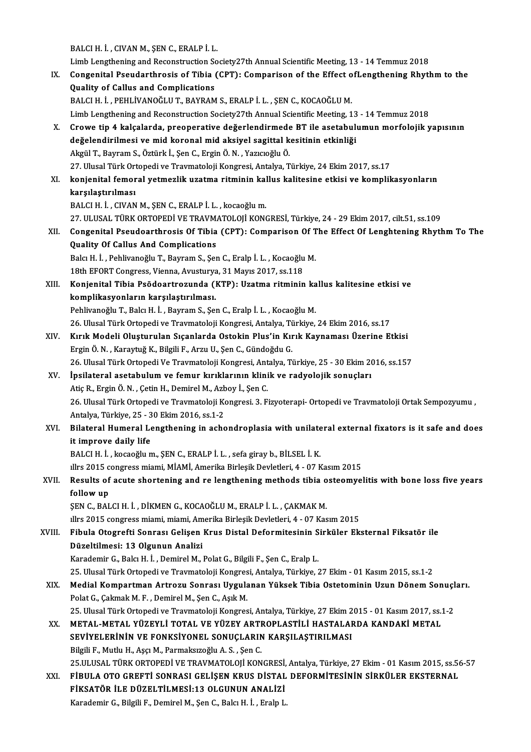BALCI H. İ., CIVAN M., ŞEN C., ERALP İ. L. Limb Lengthening and Reconstruction Society27th Annual Scientific Meeting, 13 - 14 Temmuz 2018 BALCI H. İ. , CIVAN M., ŞEN C., ERALP İ. L.<br>Limb Lengthening and Reconstruction Society27th Annual Scientific Meeting, 13 - 14 Temmuz 2018<br>IX. Congenital Pseudarthrosis of Tibia (CPT): Comparison of the Effect ofLengthenin Limb Lengthening and Reconstruction So<br>Congenital Pseudarthrosis of Tibia<br>Quality of Callus and Complications<br>BALCLH İ. BEHLİVANOĞLUT BAYRAM Congenital Pseudarthrosis of Tibia (CPT): Comparison of the Effect o<br>Quality of Callus and Complications<br>BALCI H. İ. , PEHLİVANOĞLU T., BAYRAM S., ERALP İ. L. , ŞEN C., KOCAOĞLU M.<br>Limb Longthoning and Besonstruction Socie Quality of Callus and Complications<br>BALCI H. İ. , PEHLİVANOĞLU T., BAYRAM S., ERALP İ. L. , ŞEN C., KOCAOĞLU M.<br>Limb Lengthening and Reconstruction Society27th Annual Scientific Meeting, 13 - 14 Temmuz 2018 BALCI H. İ. , PEHLİVANOĞLU T., BAYRAM S., ERALP İ. L. , ŞEN C., KOCAOĞLU M.<br>Limb Lengthening and Reconstruction Society27th Annual Scientific Meeting, 13 - 14 Temmuz 2018<br>X. Crowe tip 4 kalçalarda, preoperative değerlendir Limb Lengthening and Reconstruction Society27th Annual Scientific Meeting, 13<br>Crowe tip 4 kalçalarda, preoperative değerlendirmede BT ile asetabulu<br>değelendirilmesi ve mid koronal mid aksiyel sagittal kesitinin etkinliği<br>A değelendirilmesi ve mid koronal mid aksiyel sagittal kesitinin etkinliği<br>Akgül T., Bayram S., Öztürk İ., Şen C., Ergin Ö. N. , Yazıcıoğlu Ö. 27. Ulusal Türk Ortopedi ve Travmatoloji Kongresi, Antalya, Türkiye, 24 Ekim 2017, ss.17 Akgül T., Bayram S., Öztürk İ., Şen C., Ergin Ö. N. , Yazıcıoğlu Ö.<br>27. Ulusal Türk Ortopedi ve Travmatoloji Kongresi, Antalya, Türkiye, 24 Ekim 2017, ss.17<br>XI. konjenital femoral yetmezlik uzatma ritminin kallus kalit karşılaştırılması<br>BALCI H. İ. , CIVAN M., ŞEN C., ERALP İ. L. , kocaoğlu m. konjenital femoral yetmezlik uzatma ritminin kal<br>karşılaştırılması<br>BALCI H. İ. , CIVAN M., ŞEN C., ERALP İ. L. , kocaoğlum.<br>27. ULUSAL TÜRK ORTOREDİ VE TRAVMATOLOJİ KONA karşılaştırılması<br>BALCI H. İ. , CIVAN M., ŞEN C., ERALP İ. L. , kocaoğlu m.<br>27. ULUSAL TÜRK ORTOPEDİ VE TRAVMATOLOJİ KONGRESİ, Türkiye, 24 - 29 Ekim 2017, cilt.51, ss.109<br>Congenital Beaudearthrosis Of Tibia (CBT); Companis BALCI H. İ. , CIVAN M., ŞEN C., ERALP İ. L. , kocaoğlu m.<br>27. ULUSAL TÜRK ORTOPEDİ VE TRAVMATOLOJİ KONGRESİ, Türkiye, 24 - 29 Ekim 2017, cilt.51, ss.109<br>XII. Congenital Pseudoarthrosis Of Tibia (CPT): Comparison Of The 27. ULUSAL TÜRK ORTOPEDİ VE TRAVM.<br>Congenital Pseudoarthrosis Of Tibia<br>Quality Of Callus And Complications Congenital Pseudoarthrosis Of Tibia (CPT): Comparison Of T<br>Quality Of Callus And Complications<br>Balcı H. İ. , Pehlivanoğlu T., Bayram S., Şen C., Eralp İ. L. , Kocaoğlu M.<br>19th EEOPT Congress Vienne, Ayusturya 21 Mayıs 2017 Quality Of Callus And Complications<br>19th E. İ. , Pehlivanoğlu T., Bayram S., Şen C., Eralp İ. L. , Kocaoğlu M.<br>18th EFORT Congress, Vienna, Avusturya, 31 Mayıs 2017, ss.118 Balcı H. İ. , Pehlivanoğlu T., Bayram S., Şen C., Eralp İ. L. , Kocaoğlu M.<br>18th EFORT Congress, Vienna, Avusturya, 31 Mayıs 2017, ss.118<br>XIII. Konjenital Tibia Psödoartrozunda (KTP): Uzatma ritminin kallus kalitesine etki 18th EFORT Congress, Vienna, Avusturya<br>Konjenital Tibia Psödoartrozunda (l<br>komplikasyonların karşılaştırılması.<br>Pehlivaneğlu T. Balgutti, Bayram S. Se Konjenital Tibia Psödoartrozunda (KTP): Uzatma ritminin ka<br>komplikasyonların karşılaştırılması.<br>Pehlivanoğlu T., Balcı H. İ. , Bayram S., Şen C., Eralp İ. L. , Kocaoğlu M.<br>26 Hlucal Türk Ortonedi ve Traymateleji Kongresi, komplikasyonların karşılaştırılması.<br>26. Ulusal Türk Ortopedi ve Travmatoloji Kongresi, Antalya, Türkiye, 24 Ekim 2016, ss.17<br>26. Ulusal Türk Ortopedi ve Travmatoloji Kongresi, Antalya, Türkiye, 24 Ekim 2016, ss.17 Pehlivanoğlu T., Balcı H. İ. , Bayram S., Şen C., Eralp İ. L. , Kocaoğlu M.<br>26. Ulusal Türk Ortopedi ve Travmatoloji Kongresi, Antalya, Türkiye, 24 Ekim 2016, ss.17<br>XIV. Kırık Modeli Oluşturulan Sıçanlarda Ostokin Plus'in 26. Ulusal Türk Ortopedi ve Travmatoloji Kongresi, Antalya, Tü<br>Kırık Modeli Oluşturulan Sıçanlarda Ostokin Plus'in Kır<br>Ergin Ö. N. , Karaytuğ K., Bilgili F., Arzu U., Şen C., Gündoğdu G.<br>26. Ulusal Türk Ortopedi Ve Traumat Kırık Modeli Oluşturulan Sıçanlarda Ostokin Plus'in Kırık Kaynaması Üzerine Etkisi<br>Ergin Ö. N. , Karaytuğ K., Bilgili F., Arzu U., Şen C., Gündoğdu G.<br>26. Ulusal Türk Ortopedi Ve Travmatoloji Kongresi, Antalya, Türkiye, 25 Ergin Ö. N. , Karaytuğ K., Bilgili F., Arzu U., Şen C., Gündoğdu G.<br>26. Ulusal Türk Ortopedi Ve Travmatoloji Kongresi, Antalya, Türkiye, 25 - 30 Ekim 20<br>XV. İpsilateral asetabulum ve femur kırıklarının klinik ve radyolojik 26. Ulusal Türk Ortopedi Ve Travmatoloji Kongresi, Ant<br>İpsilateral asetabulum ve femur kırıklarının klini<br>Atiç R., Ergin Ö. N. , Çetin H., Demirel M., Azboy İ., Şen C.<br>26. Ulusal Türk Ortopedi ve Travmateleji Kongresi, 2. İpsilateral asetabulum ve femur kırıklarının klinik ve radyolojik sonuçları<br>Atiç R., Ergin Ö. N. , Çetin H., Demirel M., Azboy İ., Şen C.<br>26. Ulusal Türk Ortopedi ve Travmatoloji Kongresi. 3. Fizyoterapi- Ortopedi ve Travm Atiç R., Ergin Ö. N. , Çetin H., Demirel M., Azb<br>26. Ulusal Türk Ortopedi ve Travmatoloji Ko<br>Antalya, Türkiye, 25 - 30 Ekim 2016, ss.1-2<br>Bilateral Humaral Langthoning in ashe XVI. Bilateral Humeral Lengthening in achondroplasia with unilateral external fixators is it safe and does Antalya, Türkiye, 25 - 3<br>Bilateral Humeral Le<br>it improve daily life<br>BALCLH İ. kesseğlun BALCI H. İ., kocaoğlum., ŞEN C., ERALP İ. L., sefa giray b., BİLSEL İ. K. ıllrs 2015 congress miami, MİAMİ, Amerika Birleşik Devletleri, 4 - 07 Kasım 2015 BALCI H. İ. , kocaoğlu m., ŞEN C., ERALP İ. L. , sefa giray b., BİLSEL İ. K.<br>Illrs 2015 congress miami, MİAMİ, Amerika Birleşik Devletleri, 4 - 07 Kasım 2015<br>XVII. Results of acute shortening and re lengthening methods **illrs 2015 c**<br>**Results of**<br>**follow up**<br>SEN C - BAL Results of acute shortening and re lengthening methods tibia o<br>follow up<br>ŞEN C., BALCI H. İ. , DİKMEN G., KOCAOĞLU M., ERALP İ. L. , ÇAKMAK M.<br>illus 2015 songress mismi mismi Amerika Birlesik Devletleri 4., 07 Kas follow up<br>ŞEN C., BALCI H. İ. , DİKMEN G., KOCAOĞLU M., ERALP İ. L. , ÇAKMAK M.<br>ıllrs 2015 congress miami, miami, Amerika Birleşik Devletleri, 4 - 07 Kasım 2015 ŞEN C., BALCI H. İ. , DİKMEN G., KOCAOĞLU M., ERALP İ. L. , ÇAKMAK M.<br>111rs 2015 congress miami, miami, Amerika Birleşik Devletleri, 4 - 07 Kasım 2015<br>XVIII. Pibula Otogrefti Sonrası Gelişen Krus Distal Deformitesinin Sirk illrs 2015 congress miami, miami, Am<br>Fibula Otogrefti Sonrası Gelişen<br>Düzeltilmesi: 13 Olgunun Analizi<br>Karadamir G. Balgutti - Damirol M Fibula Otogrefti Sonrası Gelişen Krus Distal Deformitesinin S<br>Düzeltilmesi: 13 Olgunun Analizi<br>Karademir G., Balcı H. İ. , Demirel M., Polat G., Bilgili F., Şen C., Eralp L.<br>25 Ulucal Türk Ortopedi ve Traumatalaji Kongresi Düzeltilmesi: 13 Olgunun Analizi<br>Karademir G., Balcı H. İ. , Demirel M., Polat G., Bilgili F., Şen C., Eralp L.<br>25. Ulusal Türk Ortopedi ve Travmatoloji Kongresi, Antalya, Türkiye, 27 Ekim - 01 Kasım 2015, ss.1-2<br>Medial Ko Karademir G., Balcı H. İ. , Demirel M., Polat G., Bilgili F., Şen C., Eralp L.<br>25. Ulusal Türk Ortopedi ve Travmatoloji Kongresi, Antalya, Türkiye, 27 Ekim - 01 Kasım 2015, ss.1-2<br>XIX. Medial Kompartman Artrozu Sonrası 25. Ulusal Türk Ortopedi ve Travmatoloji Kongres<br>Medial Kompartman Artrozu Sonrası Uygula<br>Polat G., Çakmak M. F. , Demirel M., Şen C., Aşık M.<br>25. Ulusal Türk Ortopedi ve Traumatoloji Kongres Medial Kompartman Artrozu Sonrası Uygulanan Yüksek Tibia Ostetominin Uzun Dönem Sonuçl<br>Polat G., Çakmak M. F. , Demirel M., Şen C., Aşık M.<br>25. Ulusal Türk Ortopedi ve Travmatoloji Kongresi, Antalya, Türkiye, 27 Ekim 2015 Polat G., Çakmak M. F. , Demirel M., Şen C., Aşık M.<br>25. Ulusal Türk Ortopedi ve Travmatoloji Kongresi, Antalya, Türkiye, 27 Ekim 2015 - 01 Kasım 2017, ss.:<br>XX. METAL-METAL YÜZEYLİ TOTAL VE YÜZEY ARTROPLASTİLİ HASTALARDA K 25. Ulusal Türk Ortopedi ve Travmatoloji Kongresi, Antalya, Türkiye, 27 Ekim 2<br>METAL-METAL YÜZEYLİ TOTAL VE YÜZEY ARTROPLASTİLİ HASTALAI<br>SEVİYELERİNİN VE FONKSİYONEL SONUÇLARIN KARŞILAŞTIRILMASI<br>Bilgili E. Mutlu H. Açel M. XX. METAL-METAL YÜZEYLİ TOTAL VE YÜZEY ARTROPLASTİLI HASTALARDA KANDAKİ METAL SEVİYELERİNIN VE FONKSIYONEL SONUÇLARIN KARŞILAŞTIRILMASI<br>Bilgili F., Mutlu H., Aşçı M., Parmaksızoğlu A. S. , Şen C. S<mark>EVİYELERİNİN VE FONKSİYONEL SONUÇLARIN KARŞILAŞTIRILMASI</mark><br>Bilgili F., Mutlu H., Aşçı M., Parmaksızoğlu A. S. , Şen C.<br>25.ULUSAL TÜRK ORTOPEDİ VE TRAVMATOLOJİ KONGRESİ, Antalya, Türkiye, 27 Ekim - 01 Kasım 2015, ss.56-57<br> Bilgili F., Mutlu H., Aşçı M., Parmaksızoğlu A. S. , Şen C.<br>25.ULUSAL TÜRK ORTOPEDİ VE TRAVMATOLOJİ KONGRESİ, Antalya, Türkiye, 27 Ekim - 01 Kasım 2015, ss.56<br>28. FİBULA OTO GREFTİ SONRASI GELİŞEN KRUS DİSTAL DEFORMİTESİNİ 25.ULUSAL TÜRK ORTOPEDİ VE TRAVMATOLOJİ KONGRESİ,<br>FİBULA OTO GREFTİ SONRASI GELİŞEN KRUS DİSTAL<br>FİKSATÖR İLE DÜZELTİLMESİ:13 OLGUNUN ANALİZİ<br>Kanadamir C. Bilgili E. Damiral M. San C. Balgı H. İ. Erala L FİBULA OTO GREFTİ SONRASI GELİŞEN KRUS DİSTAL<br>FİKSATÖR İLE DÜZELTİLMESİ:13 OLGUNUN ANALİZİ<br>Karademir G., Bilgili F., Demirel M., Şen C., Balcı H. İ. , Eralp L.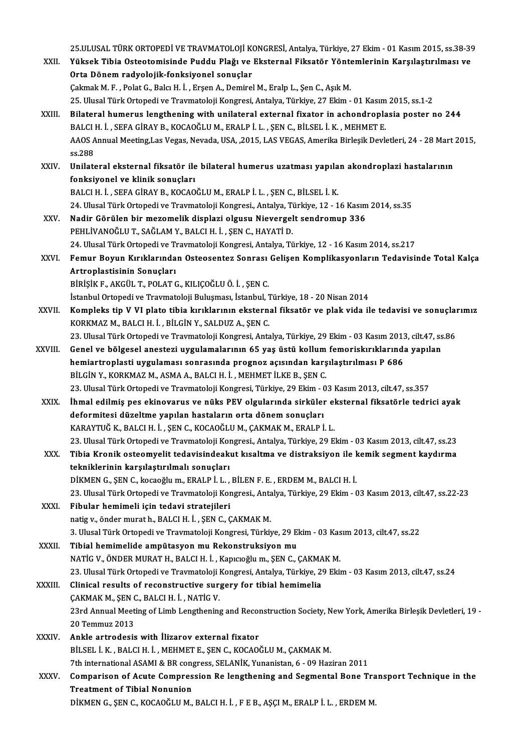|             | 25.ULUSAL TÜRK ORTOPEDİ VE TRAVMATOLOJİ KONGRESİ, Antalya, Türkiye, 27 Ekim - 01 Kasım 2015, ss.38-39                                 |
|-------------|---------------------------------------------------------------------------------------------------------------------------------------|
| XXII.       | Yüksek Tibia Osteotomisinde Puddu Plağı ve Eksternal Fiksatör Yöntemlerinin Karşılaştırılması ve                                      |
|             | Orta Dönem radyolojik-fonksiyonel sonuçlar                                                                                            |
|             | Çakmak M. F., Polat G., Balcı H. İ., Erşen A., Demirel M., Eralp L., Şen C., Aşık M.                                                  |
|             | 25. Ulusal Türk Ortopedi ve Travmatoloji Kongresi, Antalya, Türkiye, 27 Ekim - 01 Kasım 2015, ss.1-2                                  |
| XXIII.      | Bilateral humerus lengthening with unilateral external fixator in achondroplasia poster no 244                                        |
|             | BALCI H. İ., SEFA GİRAY B., KOCAOĞLU M., ERALP İ. L., ŞEN C., BİLSEL İ. K., MEHMET E.                                                 |
|             | AAOS Annual Meeting, Las Vegas, Nevada, USA, , 2015, LAS VEGAS, Amerika Birleşik Devletleri, 24 - 28 Mart 2015,                       |
|             | ss 288                                                                                                                                |
| <b>XXIV</b> | Unilateral eksternal fiksatör ile bilateral humerus uzatması yapılan akondroplazi hastalarının                                        |
|             | fonksiyonel ve klinik sonuçları                                                                                                       |
|             | BALCI H. İ., SEFA GİRAY B., KOCAOĞLU M., ERALP İ. L., ŞEN C., BİLSEL İ. K.                                                            |
|             | 24. Ulusal Türk Ortopedi ve Travmatoloji Kongresi, Antalya, Türkiye, 12 - 16 Kasım 2014, ss.35                                        |
| XXV.        | Nadir Görülen bir mezomelik displazi olgusu Nievergelt sendromup 336                                                                  |
|             | PEHLIVANOĞLU T., SAĞLAM Y., BALCI H. İ., ŞEN C., HAYATİ D.                                                                            |
|             | 24. Ulusal Türk Ortopedi ve Travmatoloji Kongresi, Antalya, Türkiye, 12 - 16 Kasım 2014, ss.217                                       |
| XXVI.       | Femur Boyun Kırıklarından Osteosentez Sonrası Gelişen Komplikasyonların Tedavisinde Total Kalça                                       |
|             | Artroplastisinin Sonuçları                                                                                                            |
|             | BİRİŞİK F., AKGÜL T., POLAT G., KILIÇOĞLU Ö. İ. , ŞEN C.                                                                              |
|             | İstanbul Ortopedi ve Travmatoloji Buluşması, İstanbul, Türkiye, 18 - 20 Nisan 2014                                                    |
| XXVII.      | Kompleks tip V VI plato tibia kırıklarının eksternal fiksatör ve plak vida ile tedavisi ve sonuçlarımız                               |
|             | KORKMAZ M., BALCI H. İ., BİLGİN Y., SALDUZ A., ŞEN C.                                                                                 |
|             | 23. Ulusal Türk Ortopedi ve Travmatoloji Kongresi, Antalya, Türkiye, 29 Ekim - 03 Kasım 2013, cilt.47, ss.86                          |
| XXVIII.     | Genel ve bölgesel anestezi uygulamalarının 65 yaş üstü kollum femoriskırıklarında yapılan                                             |
|             | hemiartroplasti uygulaması sonrasında prognoz açısından karşılaştırılması P 686                                                       |
|             | BİLGİN Y., KORKMAZ M., ASMA A., BALCI H. İ., MEHMET İLKE B., ŞEN C.                                                                   |
|             | 23. Ulusal Türk Ortopedi ve Travmatoloji Kongresi, Türkiye, 29 Ekim - 03 Kasım 2013, cilt.47, ss.357                                  |
| XXIX.       | İhmal edilmiş pes ekinovarus ve nüks PEV olgularında sirküler eksternal fiksatörle tedrici ayak                                       |
|             | deformitesi düzeltme yapılan hastaların orta dönem sonuçları<br>KARAYTUĞ K., BALCI H. İ., ŞEN C., KOCAOĞLU M., ÇAKMAK M., ERALP İ. L. |
|             | 23. Ulusal Türk Ortopedi ve Travmatoloji Kongresi., Antalya, Türkiye, 29 Ekim - 03 Kasım 2013, cilt.47, ss.23                         |
| XXX.        | Tibia Kronik osteomyelit tedavisindeakut kısaltma ve distraksiyon ile kemik segment kaydırma                                          |
|             | tekniklerinin karşılaştırılmalı sonuçları                                                                                             |
|             | DİKMEN G., ŞEN C., kocaoğlu m., ERALP İ. L., BİLEN F. E., ERDEM M., BALCI H. İ.                                                       |
|             | 23. Ulusal Türk Ortopedi ve Travmatoloji Kongresi., Antalya, Türkiye, 29 Ekim - 03 Kasım 2013, cilt.47, ss.22-23                      |
| XXXI.       | Fibular hemimeli için tedavi stratejileri                                                                                             |
|             | natig v., önder murat h., BALCI H. İ., ŞEN C., ÇAKMAK M.                                                                              |
|             | 3. Ulusal Türk Ortopedi ve Travmatoloji Kongresi, Türkiye, 29 Ekim - 03 Kasım 2013, cilt.47, ss.22                                    |
| XXXII.      | Tibial hemimelide ampütasyon mu Rekonstruksiyon mu                                                                                    |
|             | NATİG V., ÖNDER MURAT H., BALCI H. İ., Kapıcıoğlu m., ŞEN C., ÇAKMAK M.                                                               |
|             | 23. Ulusal Türk Ortopedi ve Travmatoloji Kongresi, Antalya, Türkiye, 29 Ekim - 03 Kasım 2013, cilt.47, ss.24                          |
| XXXIII.     | Clinical results of reconstructive surgery for tibial hemimelia                                                                       |
|             | ÇAKMAK M, ŞEN C, BALCI H İ, NATİG V.                                                                                                  |
|             | 23rd Annual Meeting of Limb Lengthening and Reconstruction Society, New York, Amerika Birleşik Devletleri, 19-                        |
|             | 20 Temmuz 2013                                                                                                                        |
| XXXIV.      | Ankle artrodesis with Ilizarov external fixator                                                                                       |
|             | BİLSEL İ. K., BALCI H. İ., MEHMET E., ŞEN C., KOCAOĞLU M., ÇAKMAK M.                                                                  |
|             | 7th international ASAMI & BR congress, SELANİK, Yunanistan, 6 - 09 Haziran 2011                                                       |
| XXXV.       | Comparison of Acute Compression Re lengthening and Segmental Bone Transport Technique in the                                          |
|             | <b>Treatment of Tibial Nonunion</b>                                                                                                   |
|             | DİKMEN G., ŞEN C., KOCAOĞLU M., BALCI H. İ., F E B., AŞÇI M., ERALP İ. L., ERDEM M.                                                   |
|             |                                                                                                                                       |